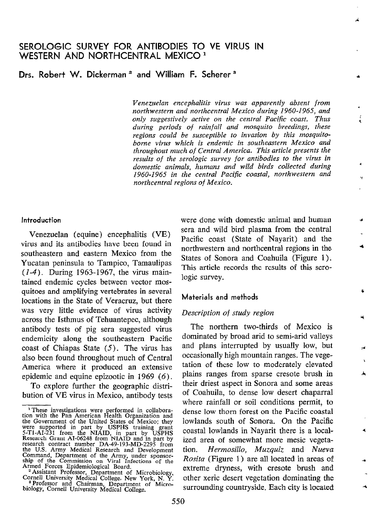# Drs. Robert W. Dickerman<sup>2</sup> and William F. Scherer<sup>3</sup>

Venezuelan encephalitis virus was apparently absent from northwestern and northcentral Mexico during 1960-1965, and only suggestively active on the central Pacific coast. Thus during periods of rainfall and mosquito breedings, these regions could be susceptible to invasion by this mosquitoborne virus which is endemic in southeastern Mexico and throughout much of Central America. This article presents the results of the serologic survey for antibodies to the virus in domestic animals, humans and wild birds collected during 1960-1965 in the central Pacific coastal, northwestern and northcentral regions of Mexico.

#### Introduction

Venezuelan (equine) encephalitis (VE) virus and its antibodies have been found in southeastern and eastern Mexico from the Yucatan peninsula to Tampico, Tamaulipas (I-4). During 1963-1967, the virus maintained endemic cycles between vector mosquitoes and amplifying vertebrates in severa1 locations in the State of Veracruz, but there was very little evidence of virus activity across the Isthmus of Tehuantepec, although antibody tests of pig sera suggested virus endemicity along the southeastern Pacific coast of Chiapas State  $(5)$ . The virus has also been found throughout much of Central America where it produced an extensive epidemic and equine epizootic in 1969 (6).

To explore further the geographic distribution of VE virus in Mexico, antibody tests were done with domestic animal and human sera and wild bird plasma from the central Pacific coast (State of Nayarit) and the northwestern and northcentral regions in the States of Sonora and Coahuila (Figure 1). This article records the results of this serologic survey.

 $\epsilon$ 

## Materials and methods

## Description of study region

The northern two-thirds of Mexico is dominated by broad arid to semi-arid valleys and plans interrupted by usually low, but occasionally high mountain ranges. The vegetation of these low to moderately elevated plains ranges from sparse cresote brush in their driest aspect in Sonora and some areas of Coahuila, to dense low desert chaparral where rainfall or soil conditions permit, to dense low thorn forest on the Pacific coastal lowlands south of Sonora. On the Pacific coastal lowlands in Nayarit there is a localized area of somewhat more mesic vegetation. Hermosillo, Muzquiz and Nueva Rosita (Figure 1) are al1 located in areas of extreme dryness, with cresote brush and other xeric desert vegetation dominating the surrounding countryside. Each city is located

<sup>&</sup>lt;sup>1</sup> These investigations were performed in collaboration with the Pan American Health Organization and the Government of the United States of Mexico; they were supported in part by USPHS training grant S-T1-AI-231 from the research contract number DA-49-193-MD-2295 from<br>the U.S. Army Medical Research and Development<br>Command, Department of the Army, under sponsor-<br>ship of the Commission on Viral Infections of the<br>Armed Forces Epidemiological

<sup>&</sup>lt;sup>2</sup> Assistant Professor, Department of Microbiology,<br>Cornell University Medical College, New York, N. Y.<br><sup>3</sup> Professor and Chairman, Department of Micro-<br>biology, Cornell University Medical College.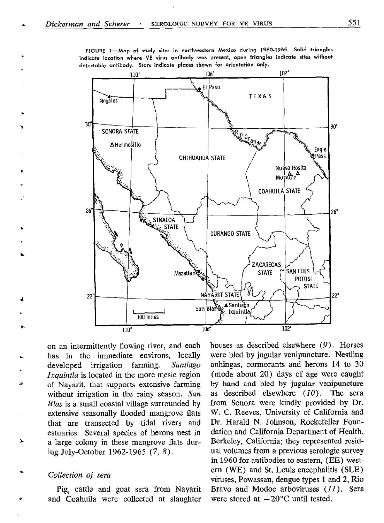$102°$  $106°$  $110°$ El Paso **TEXAS** Nogales 30°  $30^{\circ}$ SONORA STATE AHermosillo Eagle #Pass CHIHUAHUA STATE Nueva Rosita  $Muzg\ddot{u}iz$ COAHUILA STATE 26  $26"$ SINALOA **STATE DURANGO STATE** ZACATECAS SAN LUIS **STATE** Mazatlar POTOSI **STATE** NAYARIT STATE  $22^{\circ}$ 22  $\sum_{\text{San}}$ Blase ▲ Santiago Ixquintla 100 miles 106 102  $110^\circ$ 

FIGURE 1-Map of study sites in northwestern Mexico during 1960-1965. Solid triangles indicate location where VE virus antibody was present, open triangles indicate sites without detectable antibody. Stars indicate places shown for orientation only.

on an intermittently flowing river, and each has in the immediate environs, locally developed irrigation farming. Santiago Ixquintla is located in the more mesic region of Nayarit, that supports extensive farming without irrigation in the rainy season. San Blas is a small coastal village surrounded by extensive seasonally flooded mangrove flats that are transected by tidal rivers and estuaries. Severa1 species of herons nest in a large colony in these mangrove flats during July-October 1962-l 965 (7, 8).

Collection of sera

Pig, cattle and goat sera from Nayarit and Coahuila were collected at slaughter

houses as described elsewhere (9). Horses were bled by jugular venipuncture. Nestling anhingas, cormorants and herons 14 to 30 (mode about 20) days of age were caught by hand and bled by jugular venipuncture as described elsewhere  $(10)$ . The sera from Sonora were kindly provided by Dr. W. C. Reeves, University of California and Dr. Harald N. Johnson, Rockefeller Foundation and California Department of Health, Berkeley, California; they represented residual volumes from a previous serologic survey in 1960 for antibodies to eastem, (EE) western (WE) and St. Louis encephalitis (SLE) viruses, Powassan, dengue types 1 and 2, Rio Bravo and Modoc arboviruses  $(11)$ . Sera were stored at  $-20^{\circ}$ C until tested.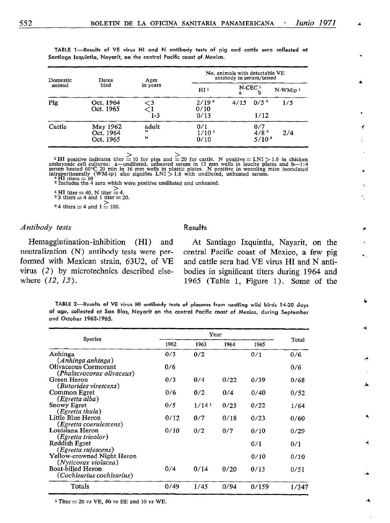| ۰.<br>v | ۰, | . . |  |
|---------|----|-----|--|
|         |    |     |  |

| Domestic<br>animal | Dates                              | Ages              | No. animals with detectable VE<br>antibody in serum/tested |      |                                           |                     |  |
|--------------------|------------------------------------|-------------------|------------------------------------------------------------|------|-------------------------------------------|---------------------|--|
|                    | bled                               | in years          | HI <sub>1</sub>                                            | a    | $N$ -CEC <sup>1</sup>                     | N-WMip <sup>1</sup> |  |
| Pig                | Oct. 1964<br>Oct. 1965             | $<$ 3<br>1-3      | $2/19$ <sup>2</sup><br>0/10<br>0/13                        | 4/15 | 0/5 <sup>3</sup><br>1/12                  | 1/5                 |  |
| Cattle             | May 1962<br>Oct. 1964<br>Oct. 1965 | adult<br>,,<br>,, | 0/1<br>1/10 <sup>4</sup><br>0/10                           |      | 0/7<br>4/8 <sup>5</sup><br>$5/10^{\circ}$ | 2/4                 |  |

TABLE 1-Results of VE virus HI and N antibody tests of pig and cattle sera collected at Santiago Ixquintla, Nayarit, on the central Pacific coast of Mexico.

<sup>1</sup>HI positive indicates titer  $\ge$  10 for pigs and  $\ge$  20 for cattle. N positive  $=$  LNI > 1.6 in chicken embryonic cell cultures: a—undiluted, unheated serum in 13 mm wells in leucite plates and b—1:4 serum heated 60°C

<sup>3</sup> Includes the 4 sera which were positive undiluted and unheated.

4 HI titer  $= 40$ , N titer  $= 4$ .<br><sup>5</sup> 3 titers  $= 4$  and 1 titer  $= 20$ . <sup>0</sup> 4 titers = 4 and  $1 \leq 100$ .

## Antibody tests Results

neutralization (N) antibody tests were per- central Pacific coast of Mexico, a few pig formed with Mexican strain, 63U2, of VE and cattle sera had VE virus HI and N antivirus (2) by microtechnics described else- bodies in significant titers during 1964 and where  $(12, 13)$ . 1965 (Table 1, Figure 1). Some of the

Hemagglutination-inhibition (HI) and At Santiago Ixquintla, Nayarit, on the

TABLE 2-Results of VE virus HI antibody tests of plasmas from nestling wild birds 14-30 days of age, collected at San Blas, Nayarit on the central Pacific coast of Mexico, during September and October 1962-1965.

| Species                                            |      |                   |      |       |       |
|----------------------------------------------------|------|-------------------|------|-------|-------|
|                                                    | 1962 | 1963              | 1964 | 1965  | Total |
| Anhinga<br>(Anhinga anhinga)                       | 0/3  | 0/2               |      | 0/1   | 0/6   |
| Olivaceous Cormorant<br>(Phalacrocorax olivaceus)  | 0/6  |                   |      |       | 0/6   |
| Green Heron<br>(Butorides virescens)               | 0/3  | 0/4               | 0/22 | 0/39  | 0/68  |
| Common Egret<br>(Egretta alba)                     | 0/6  | 0/2               | 0/4  | 0/40  | 0/52  |
| Snowy Egret<br>(Egretta thula)                     | 0/5  | 1/14 <sup>1</sup> | 0/23 | 0/22  | 1/64  |
| Little Blue Heron<br>(Egretta coerulescens)        | 0/12 | 0/7               | 0/18 | 0/23  | 0/60  |
| Louisiana Heron<br>(Egretta tricolor)              | 0/10 | 0/2               | 0/7  | 0/10  | 0/29  |
| Reddish Egret<br>(Egretta rufescens)               |      |                   |      | 0/1   | 0/1   |
| Yellow-crowned Night Heron<br>(Nyticorax violacea) |      |                   |      | 0/10  | 0/10  |
| Boat-billed Heron<br>(Cochlearius cochlearius)     | 0/4  | 0/14              | 0/20 | 0/13  | 0/51  |
| Totals                                             | 0/49 | 1/45              | 0/94 | 0/159 | 1/347 |

 $1$  Titer  $= 20$  vs VE, 80 vs EE and 10 vs WE.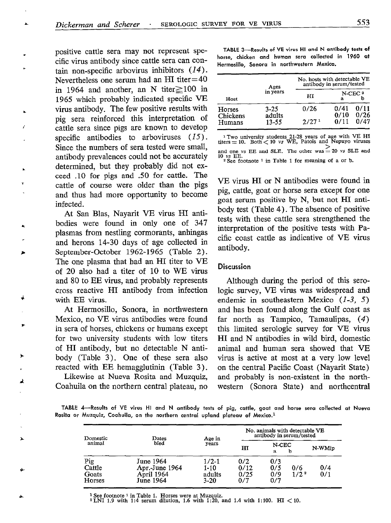positive cattle sera may not represent specific virus antibody since cattle sera can contain non-specific arbovirus inhibitors (14). Nevertheless one serum had an HI titer=40 in 1964 and another, an N titer $\geq$ 100 in 1965 which probably indicated specific VE virus antibody. The few positive results with pig sera reinforced this interpretation of cattle sera since pigs are known to develop specific antibodies to arboviruses  $(15)$ . Since the numbers of sera tested were small, antibody prevalences could not be accurately determined, but they probably did not exceed .lO for pigs and .50 for cattle. The cattle of course were older than the pigs and thus had more opportunity to become infected.

At San Blas, Nayarit VE virus HI antibodies were found in only one of 347 plasmas from nestling cormorants, anhingas and herons 14-30 days of age collected in September-October 1962-1965 (Table 2). The one plasma that had an HI titer to VE of 20 also had a titer of 10 to WE virus and 80 to EE virus, and probably represents cross reactive HI antibody from infection with EE virus.

At Hermosillo, Sonora, in northwestern Mexico, no VE virus antibodies were found in sera of horses, chickens or humans except for two university students with low titers of HI antibody, but no detectable N antibody (Table 3). One of these sera also reacted with EE hemagglutinin (Table 3).

Likewise at Nueva Rosita and Muzquiz, Coahuila on the northern central plateau, no

TABLE 3-Results of VE virus HI and N antibody tests of horse, chicken and human sera collected in 1960 at Hermosillo, Sonoro in northwestern Mexico.

| Host               | Ages               | No. hosts with detectable VE<br>antibody in serum/tested |              |                   |  |  |
|--------------------|--------------------|----------------------------------------------------------|--------------|-------------------|--|--|
|                    | in years           | HI                                                       | я            | $N$ -CEC $3$<br>h |  |  |
| Horses<br>Chickens | $3 - 25$<br>adults | 0/26                                                     | 0/41<br>0/10 | 0/11<br>0/26      |  |  |
| Humans             | 13-55              | 2/27 <sup>1</sup>                                        | 0/11         | 0/47              |  |  |

<sup>1</sup> Two university students 21-28 years of age with  $vE$  H<sub>1</sub> titers = 10. Both  $\lt 10$  vs WE, Patois and Nepuyo viruses and one vs EE and SLE. The other was  $= 20$  vs SLE and 10 vs EE.  $2$  See footnote <sup>1</sup> in Table 1 for meaning of a or b.

VE virus HI or N antibodies were found in pig, cattle, goat or horse sera except for one goat serum positive by N, but not HI antibody test (Table 4). The absence of positive tests with these cattle sera strengthened the interpretation of the positive tests with Pacific coast cattle as indicative of VE virus antibody.

## **Discussion**

Although during the period of this serologic survey, VE virus was widespread and endemic in southeastern Mexico (1-3, 5) and has been found along the Gulf coast as far north as Tampico, Tamaulipas, (4) this limited serologic survey for VE virus HI and N antibodies in wild bird, domestic animal and human sera showed that VE virus is active at most at a very low leve1 on the central Pacific Coast (Nayarit State) and probably is non-existent in the northwestern (Sonora State) and northcentral

TABLE 4-Results of VE virus HI and N antibody tests of pig, cattle, goat and horse sera collected at Nueva Rosita or Muzquiz, Coahuila, on the northern central upland plateau of Mexico.<sup>1</sup>

| Domestic<br>animal               | Dates                                                  | Age in<br>years                           | No. animals with detectable VE<br>antibody in serum/tested |                          |                         |            |
|----------------------------------|--------------------------------------------------------|-------------------------------------------|------------------------------------------------------------|--------------------------|-------------------------|------------|
|                                  | bled                                                   |                                           | н                                                          | N-CEC<br>$\mathbf{a}$    | b                       | N-WMip     |
| Pig<br>Cattle<br>Goats<br>Horses | June 1964<br>Apr.-June 1964<br>April 1964<br>June 1964 | $1/2-1$<br>$1 - 10$<br>adults<br>$3 - 20$ | 0/2<br>0/12<br>0/25<br>0/7                                 | 0/3<br>0/5<br>0/9<br>0/7 | 0/6<br>1/2 <sup>2</sup> | 0/4<br>0/1 |

<sup>1</sup> See footnote <sup>1</sup> in Table 1. Horses were at Muzquiz.<br><sup>2</sup> LNI 1.9 with 1:4 serum dilution, 1.6 with 1:20, and 1.4 with 1:100. HI  $\lt 1$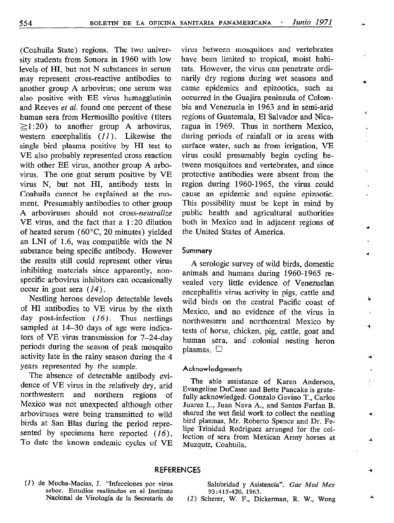(Coahuila State) regions. The two university students from Sonora in 1960 with low levels of HI, but not N substances in serum may represent cross-reactive antibodies to another group A arbovirus; one serum was also positive with EE virus hemagglutinin and Reeves et al. found one percent of these human sera from Hermosillo positive (titers  $\geq$ 1:20) to another group A arbovirus, western encephalitis  $(11)$ . Likewise the single bird plasma positive by HI test to VE also probably represented cross reaction with other EE virus, another group A arbovirus. The one goat serum positive by VE virus N, but not HI, antibody tests in Coahuila cannot be explained at the moment. Presumably antibodies to other group A arboviruses should not cross-neutralize VE virus, and the fact that a 1:20 dilution of heated serum  $(60^{\circ}C, 20$  minutes) yielded an LNI of 1.6, was compatible with the N substance being specific antibody. However the results still could represent other virus inhibiting materials since apparently, nonspecific arbovirus inhibitors can occasionally occur in goat sera  $(14)$ .

Nestling herons develop detectable levels of HI antibodies to VE virus by the sixth day post-infection (16). Thus nestlings sampled at 14-30 days of age were indicators of VE virus transmission for 7-24-day periods during the season of peak mosquito activity late in the rainy season during the 4 years represented by the sample.

The absence of detectable antibody evidence of VE virus in the relatively dry, arid northwestern and northern regions of Mexico was not unexpected although other arboviruses were being transmitted to wild birds at San Blas during the period represented by specimens here reported (16). To date the known endemic cycles of VE virus between mosquitoes and vertebrates have been limited to tropical, moist habitats. However, the virus can penetrate ordinarily dry regions during wet seasons and cause epidemics and epizootics, such as occurred in the Guajira peninsula of Colombia and Venezuela in 1963 and in semi-arid regions of Guatemala, El Salvador and Nicaragua in 1969. Thus in northern Mexico, during periods of rainfall or in areas with surface water, such as from irrigation, VE virus could presumably begin cycling between mosquitoes and vertebrates, and since protective antibodies were absent from the region during 1960-1965, the virus could cause an epidemic and equine epizootic. This possibility must be kept in mind by public health and agricultura1 authorities both in Mexico and in adjacent regions of the United States of America.

۷

٠

### **Summary**

A serologic survey of wild birds, domestic animals and humans during 1960-1965 revealed very little evidence of Venezuelan encephalitis virus activity in pigs, cattle and wild birds on the central Pacific coast of Mexico, and no evidence of the virus in northwestern and northcentral Mexico by tests of horse, chicken, pig, cattle, goat and human sera, and colonial nesting heron plasmas.  $\Box$ 

#### Acknowledgmenfs

The able assistance of Karen Anderson, Evangeline DuCasse and Bette Pancake is gratefully acknowledged. Gonzalo Gavino T., Carlos Juarez L., Juan Nava A., and Santos Farfan B. shared the wet field work to collect the nestling bird plasmas. Mr. Roberto Spence and Dr. Felipe Trinidad Rodriguez arranged for the collection of sera from Mexican Army horses at Muzquiz, Coahuila.

### REFERENCES

(1) de Mucha-Macias, J. "Infecciones por virus arbor. Estudios realizados en el Instituto

Salubridad y Asistencia". Gac Med Mex 93:415-420, 1963.

(2) Scherer, W. F., Dickerman, R. W., Wong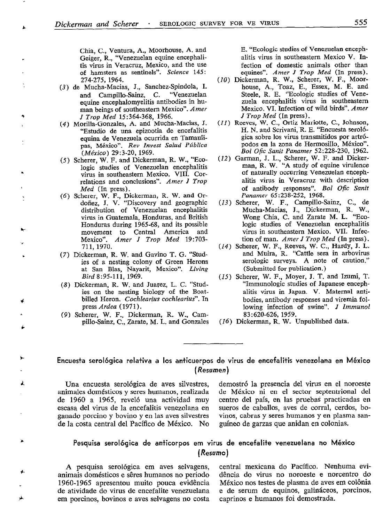Chia, C., Ventura, A., Moorhouse, A. and Geiger, R., 'Venezuelan equine encephalitis virus in Veracruz, Mexico, and the use of hamsters as sentinels". Science 145:

- 274-275, 1964. (10)<br>(3) de Mucha-Macias, J., Sanchez-Spindola, I. and Campillo-Sainz, C. '"Venezuelan equine encephalomyelitis antibodies in human beings of southeastern Mexico". Amer J Trop Med 15:364-368, 1966.
- (4) Morilla-Gonzales, A. and Mucha-Macias, J. "Estudio de una epizootia de encefalitis equina de Venezuelã ocurrida en Tamaulipas, México". Rev Invest Salud Pública  $(México)$  29:3-20, 1969.
- (5) Scherer, W. F. and Dickerman, R. W., "Ecologic studies of Venezuelan encephalitis virus in southeastem Mexico. VIII. Correlations and conclusions". Amer J Trop Med (In press).

.

4

2

- (6) Scherer, W. F., Dickerman, R. W. and Ordoñez, J. V. "Discovery and geographic distribution of Venezuelan encephalitis virus in Guatemala, Honduras, and British Honduras during 1965-68, and its possible movement to Central America and Mexico". Amer J Trop Med 19:703-711,197o.
- (7) Dickerman, R. W. and Gavino T. G. "Studies of a nesting colony of Green Herons at San Blas, Nayarit, Mexico". Living Bird 8:95-111, 1969.
- (8) Dickerman, R. W. and Juarez, L. C. "Studies on the nesting biology of the Boatbilled Heron. Cochlearius cochlearius". In press Ardea (1971).
- (9) Scherer, W. F., Dickerman, R. W., Campillo-Sainz, C., Zarate, M. L. and Gomales

E. "Ecologic studies of Venezuelan encephalitis virus in southeastem Mexico V. Infection of domestic animals other than equines". Amer J Trop Med (In press).

- (10) Dickerman, R. W., Scherer, W. F., Moorhouse, A., Toaz, E., Essex, M. E. and Steele, R. E. "Ecologic studies of Venezuela encephalitis virus in southeastem Mexico. VI. Infection of wild birds". Amer J Trop Med (In press).
- (11) Reeves, W. C., Ortiz Mariotte, C., Johnson, H. N. and Scrivani, R. E. "Encuesta serológica sobre los virus transmitidos por artrónodos en la zona de Hermosillo. México". Bol Ofic Sanit Panamer 52:228-230, 1962.
- Garman, J. L., Scherer, W. F. and Dickerman, R. W. "A study of equine virulence of naturally occurring Venezuelan encephalitis virus in Veracruz with description of antibody responses". Bol Ofic Sanit Panamer 65:238-252, 1968.
- (13) Scherer, W. F., Campillo-Sainz, C., de Mucha-Macias, J., Dickerman, R. W., Wong Chia, C. and Zarate M. L. "Ecologic studies of Venezuelan encephalitis virus in southeastem Mexico. VII. Infection of man. Amer J Trop Med (In press).
- (14) Scherer, W. F., Reeves, W. C., Hardy, J. L. and Muira, R. "Cattle sera in arbovirus serologic surveys. A note of caution." (Submitted for publication.)
- $(15)$  Scherer, W. F., Moyer, J. T. and Izumi, T. "Immunologic studies of Japanese encephalitis virus-in Japan. V. Maternal antibodies, antibody responses and viremia following infection of swine". J Immunol 83:620-626, 1959.
- (16) Dickerman, R. W. Unpublished data.

## Encuesta serológica relativa a los anticuerpos de virus de encefalitis venezolana en México (Resumen)

animales domésticos y seres humanos, realizada de México ni en el sector septentrional del de 1960 a 1965, reveló una actividad muy centro del país, en las pruebas practicadas en escasa del virus de la encefalitis venezolana en sueros de caballos, aves de corral, cerdos, boganado porcino y bovino y en las aves silvestres vinos, cabras y seres humanos y en plasma sande la costa central del Pacíñco de México. No guíneo de garzas que anidan en colonias.

Una encuesta serológica de aves silvestres, demostró la presencia del virus en el noroeste

## Pesquisa serológica de anticorpos em virus de encefalite venezuelana no México (Resumo)

animais domésticos e sêres humanos no periodo 1960-1965 apresentou muito pouca evidencia México nos testes de plasma de aves em colônia de atividade do virus de encefalite venezuelana e de serum de equinos, galináceos, porcinos, em porcinos, bovinos e aves selvagens no costa caprinos e humanos foi demostrada.

A pesquisa serológica em aves selvagens, central mexicana do Pacífico. Nenhuma evi-